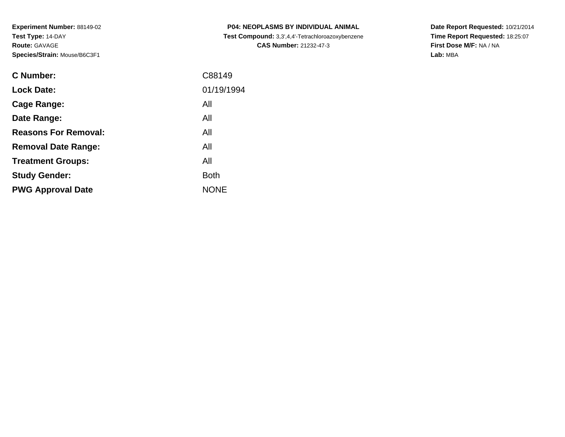| <b>C Number:</b>            | C88149      |
|-----------------------------|-------------|
| <b>Lock Date:</b>           | 01/19/1994  |
| Cage Range:                 | All         |
| Date Range:                 | All         |
| <b>Reasons For Removal:</b> | All         |
| <b>Removal Date Range:</b>  | All         |
| <b>Treatment Groups:</b>    | All         |
| <b>Study Gender:</b>        | <b>Both</b> |
| <b>PWG Approval Date</b>    | <b>NONE</b> |
|                             |             |

**P04: NEOPLASMS BY INDIVIDUAL ANIMAL Test Compound:** 3,3',4,4'-Tetrachloroazoxybenzene**CAS Number:** 21232-47-3

**Date Report Requested:** 10/21/2014 **Time Report Requested:** 18:25:07**First Dose M/F:** NA / NA**Lab:** MBA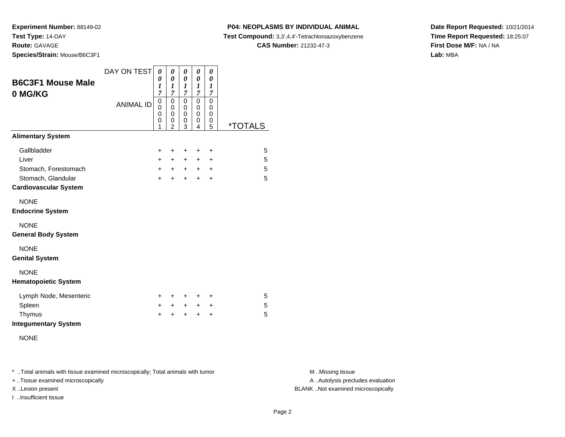**Experiment Number:** 88149-02**Test Type:** 14-DAY

**Route:** GAVAGE

**Species/Strain:** Mouse/B6C3F1

#### **P04: NEOPLASMS BY INDIVIDUAL ANIMAL**

**Test Compound:** 3,3',4,4'-Tetrachloroazoxybenzene

**CAS Number:** 21232-47-3

**Date Report Requested:** 10/21/2014**Time Report Requested:** 18:25:07**First Dose M/F:** NA / NA**Lab:** MBA

| <b>B6C3F1 Mouse Male</b><br>0 MG/KG                | DAY ON TEST      | 0<br>0<br>$\boldsymbol{l}$<br>$\overline{7}$        | 0<br>0<br>$\boldsymbol{l}$<br>7           | 0<br>0<br>1<br>$\overline{7}$   | 0<br>0<br>1<br>$\overline{\mathcal{I}}$ | 0<br>0<br>$\boldsymbol{l}$<br>7 |                       |
|----------------------------------------------------|------------------|-----------------------------------------------------|-------------------------------------------|---------------------------------|-----------------------------------------|---------------------------------|-----------------------|
|                                                    | <b>ANIMAL ID</b> | $\mathbf 0$<br>$\mathbf 0$<br>$\mathbf 0$<br>0<br>1 | 0<br>0<br>$\Omega$<br>0<br>$\overline{2}$ | 0<br>0<br>$\mathbf 0$<br>0<br>3 | 0<br>0<br>$\mathbf 0$<br>0<br>4         | 0<br>0<br>$\mathbf 0$<br>0<br>5 | <i><b>*TOTALS</b></i> |
| <b>Alimentary System</b>                           |                  |                                                     |                                           |                                 |                                         |                                 |                       |
| Gallbladder                                        |                  | $\ddot{}$                                           | $\ddot{}$                                 | $\ddot{}$                       | +                                       | $\ddot{}$                       | 5                     |
| Liver                                              |                  | $+$                                                 | $+$                                       | $+$                             | $+$                                     | $\pm$                           | 5                     |
| Stomach, Forestomach                               |                  | $+$                                                 | $+$                                       | $+$                             | $+$                                     | $\ddot{}$                       | 5                     |
| Stomach, Glandular<br><b>Cardiovascular System</b> |                  | $+$                                                 | $+$                                       | $+$                             | $\ddot{}$                               | $\ddot{}$                       | 5                     |
| <b>NONE</b><br><b>Endocrine System</b>             |                  |                                                     |                                           |                                 |                                         |                                 |                       |
| <b>NONE</b><br><b>General Body System</b>          |                  |                                                     |                                           |                                 |                                         |                                 |                       |
| <b>NONE</b><br><b>Genital System</b>               |                  |                                                     |                                           |                                 |                                         |                                 |                       |
| <b>NONE</b><br><b>Hematopoietic System</b>         |                  |                                                     |                                           |                                 |                                         |                                 |                       |
| Lymph Node, Mesenteric                             |                  | +                                                   | +                                         | $\ddot{}$                       | +                                       | $\ddot{}$                       | 5                     |
| Spleen                                             |                  | $\ddot{}$                                           | $+$                                       | $+$                             | $+$                                     | $\ddot{}$                       | $\sqrt{5}$            |
| Thymus<br><b>Integumentary System</b>              |                  | $\ddot{}$                                           | +                                         | +                               | $\ddot{}$                               | +                               | 5                     |
| <b>NONE</b>                                        |                  |                                                     |                                           |                                 |                                         |                                 |                       |

\* ..Total animals with tissue examined microscopically; Total animals with tumor **M** . Missing tissue M ..Missing tissue

+ ..Tissue examined microscopically

I ..Insufficient tissue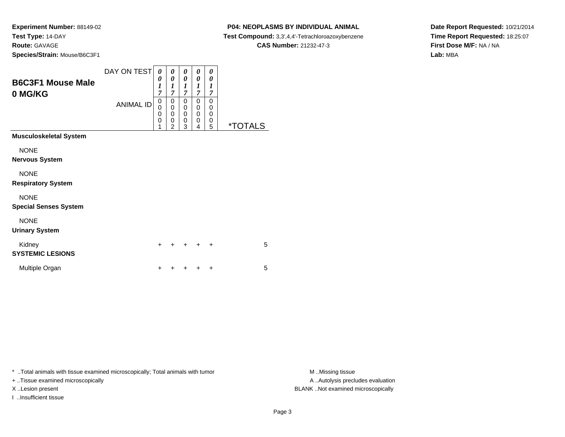#### **P04: NEOPLASMS BY INDIVIDUAL ANIMAL**

**Test Compound:** 3,3',4,4'-Tetrachloroazoxybenzene

**CAS Number:** 21232-47-3

**Date Report Requested:** 10/21/2014**Time Report Requested:** 18:25:07**First Dose M/F:** NA / NA**Lab:** MBA

| <b>B6C3F1 Mouse Male</b><br>0 MG/KG         | DAY ON TEST<br><b>ANIMAL ID</b> | 0<br>0<br>1<br>7<br>0<br>0<br>0<br>0<br>1 | 0<br>0<br>1<br>$\overline{7}$<br>0<br>0<br>0<br>0<br>$\overline{2}$ | 0<br>0<br>1<br>7<br>0<br>0<br>0<br>0<br>3 | 0<br>0<br>1<br>7<br>0<br>0<br>0<br>0<br>4 | 0<br>0<br>$\boldsymbol{l}$<br>$\overline{7}$<br>0<br>0<br>0<br>0<br>5 | <i><b>*TOTALS</b></i> |
|---------------------------------------------|---------------------------------|-------------------------------------------|---------------------------------------------------------------------|-------------------------------------------|-------------------------------------------|-----------------------------------------------------------------------|-----------------------|
| <b>Musculoskeletal System</b>               |                                 |                                           |                                                                     |                                           |                                           |                                                                       |                       |
| <b>NONE</b><br><b>Nervous System</b>        |                                 |                                           |                                                                     |                                           |                                           |                                                                       |                       |
| <b>NONE</b><br><b>Respiratory System</b>    |                                 |                                           |                                                                     |                                           |                                           |                                                                       |                       |
| <b>NONE</b><br><b>Special Senses System</b> |                                 |                                           |                                                                     |                                           |                                           |                                                                       |                       |
| <b>NONE</b><br><b>Urinary System</b>        |                                 |                                           |                                                                     |                                           |                                           |                                                                       |                       |
| Kidney<br><b>SYSTEMIC LESIONS</b>           |                                 | +                                         |                                                                     |                                           |                                           | ٠                                                                     | 5                     |
| Multiple Organ                              |                                 | +                                         |                                                                     |                                           |                                           | ٠                                                                     | 5                     |

\* ..Total animals with tissue examined microscopically; Total animals with tumor **M** . Missing tissue M ..Missing tissue

+ ..Tissue examined microscopically

I ..Insufficient tissue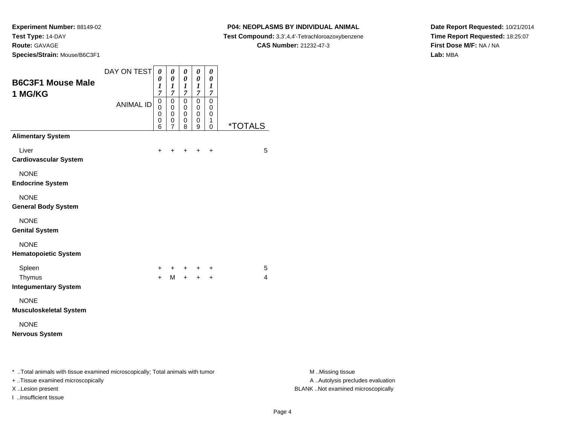**Experiment Number:** 88149-02**Test Type:** 14-DAY

**Route:** GAVAGE

**Species/Strain:** Mouse/B6C3F1

#### **P04: NEOPLASMS BY INDIVIDUAL ANIMAL**

**Test Compound:** 3,3',4,4'-Tetrachloroazoxybenzene

**CAS Number:** 21232-47-3

**Date Report Requested:** 10/21/2014**Time Report Requested:** 18:25:07**First Dose M/F:** NA / NA**Lab:** MBA

| <b>B6C3F1 Mouse Male</b><br>1 MG/KG                                                                                 | DAY ON TEST      | $\boldsymbol{\theta}$<br>0<br>$\boldsymbol{l}$<br>$\overline{7}$ | 0<br>0<br>1<br>$\boldsymbol{7}$                    | $\pmb{\theta}$<br>$\pmb{\theta}$<br>$\boldsymbol{l}$<br>$\boldsymbol{7}$ | $\pmb{\theta}$<br>$\pmb{\theta}$<br>$\boldsymbol{l}$<br>$\boldsymbol{7}$ | $\pmb{\theta}$<br>$\pmb{\theta}$<br>$\boldsymbol{l}$<br>$\overline{7}$ |                       |                                                       |
|---------------------------------------------------------------------------------------------------------------------|------------------|------------------------------------------------------------------|----------------------------------------------------|--------------------------------------------------------------------------|--------------------------------------------------------------------------|------------------------------------------------------------------------|-----------------------|-------------------------------------------------------|
|                                                                                                                     | <b>ANIMAL ID</b> | $\pmb{0}$<br>0<br>0<br>0<br>6                                    | $\pmb{0}$<br>$\pmb{0}$<br>0<br>0<br>$\overline{7}$ | $\pmb{0}$<br>0<br>$\mathbf 0$<br>0<br>8                                  | $\mathsf{O}\xspace$<br>$\mathbf 0$<br>0<br>$\pmb{0}$<br>$\boldsymbol{9}$ | $\mathbf 0$<br>0<br>0<br>$\mathbf{1}$<br>0                             | <i><b>*TOTALS</b></i> |                                                       |
| <b>Alimentary System</b>                                                                                            |                  |                                                                  |                                                    |                                                                          |                                                                          |                                                                        |                       |                                                       |
| Liver<br><b>Cardiovascular System</b>                                                                               |                  | +                                                                |                                                    |                                                                          | $\ddot{}$                                                                | $\ddot{}$                                                              | 5                     |                                                       |
| <b>NONE</b><br><b>Endocrine System</b>                                                                              |                  |                                                                  |                                                    |                                                                          |                                                                          |                                                                        |                       |                                                       |
| <b>NONE</b><br><b>General Body System</b>                                                                           |                  |                                                                  |                                                    |                                                                          |                                                                          |                                                                        |                       |                                                       |
| <b>NONE</b><br><b>Genital System</b>                                                                                |                  |                                                                  |                                                    |                                                                          |                                                                          |                                                                        |                       |                                                       |
| <b>NONE</b><br><b>Hematopoietic System</b>                                                                          |                  |                                                                  |                                                    |                                                                          |                                                                          |                                                                        |                       |                                                       |
| Spleen                                                                                                              |                  | +                                                                | $\pm$                                              | $^+$                                                                     | $\pm$                                                                    | +                                                                      | 5                     |                                                       |
| Thymus<br><b>Integumentary System</b>                                                                               |                  | $+$                                                              | M                                                  | $+$                                                                      | $+$                                                                      | $\ddot{}$                                                              | 4                     |                                                       |
| <b>NONE</b>                                                                                                         |                  |                                                                  |                                                    |                                                                          |                                                                          |                                                                        |                       |                                                       |
| <b>Musculoskeletal System</b>                                                                                       |                  |                                                                  |                                                    |                                                                          |                                                                          |                                                                        |                       |                                                       |
| <b>NONE</b><br><b>Nervous System</b>                                                                                |                  |                                                                  |                                                    |                                                                          |                                                                          |                                                                        |                       |                                                       |
| * Total animals with tissue examined microscopically; Total animals with tumor<br>+ Tissue examined microscopically |                  |                                                                  |                                                    |                                                                          |                                                                          |                                                                        |                       | M Missing tissue<br>A  Autolysis precludes evaluation |

I ..Insufficient tissue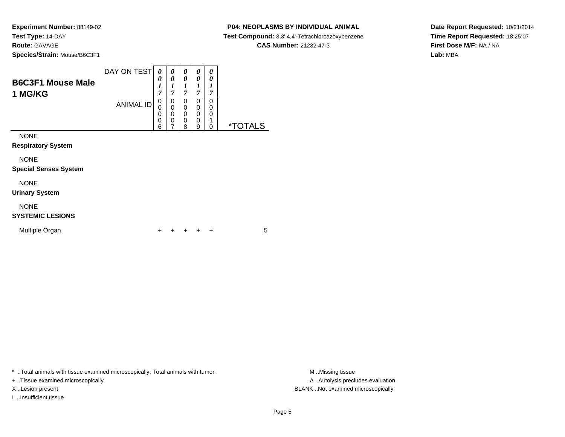#### **P04: NEOPLASMS BY INDIVIDUAL ANIMAL**

**Test Compound:** 3,3',4,4'-Tetrachloroazoxybenzene

**CAS Number:** 21232-47-3

 $\overline{\phantom{0}}$ 

**Date Report Requested:** 10/21/2014**Time Report Requested:** 18:25:07**First Dose M/F:** NA / NA**Lab:** MBA

| <b>B6C3F1 Mouse Male</b>                    | DAY ON TEST      | 0<br>0<br>1<br>7      | 0<br>0<br>1<br>7        | 0<br>0<br>1<br>7      | 0<br>0<br>7           | 0<br>0<br>7           |                           |
|---------------------------------------------|------------------|-----------------------|-------------------------|-----------------------|-----------------------|-----------------------|---------------------------|
| 1 MG/KG                                     | <b>ANIMAL ID</b> | 0<br>0<br>0<br>0<br>6 | 0<br>0<br>$\Omega$<br>0 | 0<br>0<br>0<br>0<br>8 | 0<br>0<br>0<br>0<br>9 | 0<br>0<br>0<br>1<br>0 | $*$ T $_{\rm C}$<br>TAI S |
| <b>NONE</b><br><b>Respiratory System</b>    |                  |                       |                         |                       |                       |                       |                           |
| <b>NONE</b><br><b>Special Senses System</b> |                  |                       |                         |                       |                       |                       |                           |

# NONE

**Urinary System**

# NONE

### **SYSTEMIC LESIONS**

| Multiple Organ |  |  |  | + + + + + |  |  |  |
|----------------|--|--|--|-----------|--|--|--|
|----------------|--|--|--|-----------|--|--|--|

\* ..Total animals with tissue examined microscopically; Total animals with tumor **M** . Missing tissue M ..Missing tissue

+ ..Tissue examined microscopically

I ..Insufficient tissue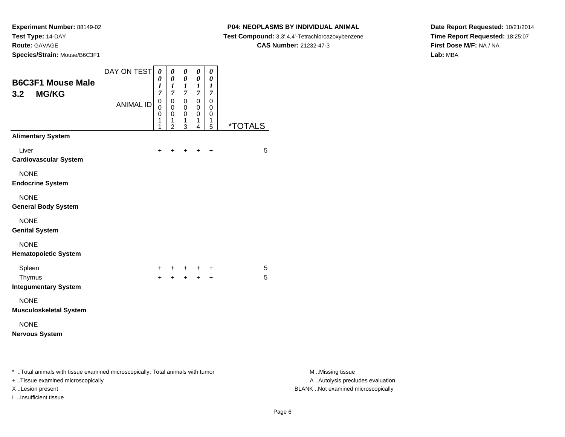**Species/Strain:** Mouse/B6C3F1

I ..Insufficient tissue

#### **P04: NEOPLASMS BY INDIVIDUAL ANIMAL**

**Test Compound:** 3,3',4,4'-Tetrachloroazoxybenzene

**CAS Number:** 21232-47-3

**Date Report Requested:** 10/21/2014**Time Report Requested:** 18:25:07**First Dose M/F:** NA / NA**Lab:** MBA

| <b>B6C3F1 Mouse Male</b><br><b>MG/KG</b><br>3.2                                                                     | DAY ON TEST<br><b>ANIMAL ID</b> | $\boldsymbol{\theta}$<br>0<br>$\boldsymbol{l}$<br>7<br>$\pmb{0}$<br>0<br>0<br>1<br>1 | $\pmb{\theta}$<br>0<br>$\boldsymbol{l}$<br>$\overline{7}$<br>$\pmb{0}$<br>$\mathbf 0$<br>0<br>1<br>$\overline{2}$ | $\pmb{\theta}$<br>$\pmb{\theta}$<br>$\boldsymbol{l}$<br>$\overline{7}$<br>$\mathbf 0$<br>0<br>0<br>$\mathbf{1}$<br>3 | $\pmb{\theta}$<br>0<br>$\boldsymbol{l}$<br>$\boldsymbol{7}$<br>$\overline{0}$<br>0<br>0<br>1<br>$\overline{4}$ | $\pmb{\theta}$<br>0<br>$\boldsymbol{l}$<br>$\boldsymbol{7}$<br>$\mathsf 0$<br>0<br>0<br>$\mathbf{1}$<br>5 | <i><b>*TOTALS</b></i> |                                                       |
|---------------------------------------------------------------------------------------------------------------------|---------------------------------|--------------------------------------------------------------------------------------|-------------------------------------------------------------------------------------------------------------------|----------------------------------------------------------------------------------------------------------------------|----------------------------------------------------------------------------------------------------------------|-----------------------------------------------------------------------------------------------------------|-----------------------|-------------------------------------------------------|
| <b>Alimentary System</b>                                                                                            |                                 |                                                                                      |                                                                                                                   |                                                                                                                      |                                                                                                                |                                                                                                           |                       |                                                       |
| Liver<br><b>Cardiovascular System</b>                                                                               |                                 | +                                                                                    |                                                                                                                   |                                                                                                                      | $+$                                                                                                            | $\ddot{}$                                                                                                 | 5                     |                                                       |
| <b>NONE</b><br><b>Endocrine System</b>                                                                              |                                 |                                                                                      |                                                                                                                   |                                                                                                                      |                                                                                                                |                                                                                                           |                       |                                                       |
| <b>NONE</b><br><b>General Body System</b>                                                                           |                                 |                                                                                      |                                                                                                                   |                                                                                                                      |                                                                                                                |                                                                                                           |                       |                                                       |
| <b>NONE</b><br><b>Genital System</b>                                                                                |                                 |                                                                                      |                                                                                                                   |                                                                                                                      |                                                                                                                |                                                                                                           |                       |                                                       |
| <b>NONE</b><br><b>Hematopoietic System</b>                                                                          |                                 |                                                                                      |                                                                                                                   |                                                                                                                      |                                                                                                                |                                                                                                           |                       |                                                       |
| Spleen<br>Thymus<br><b>Integumentary System</b>                                                                     |                                 | $+$                                                                                  | $\ddot{+}$                                                                                                        | $+$                                                                                                                  | $+$<br>$\ddot{+}$                                                                                              | $\ddot{}$<br>$+$                                                                                          | 5<br>5                |                                                       |
| <b>NONE</b><br><b>Musculoskeletal System</b>                                                                        |                                 |                                                                                      |                                                                                                                   |                                                                                                                      |                                                                                                                |                                                                                                           |                       |                                                       |
| <b>NONE</b><br><b>Nervous System</b>                                                                                |                                 |                                                                                      |                                                                                                                   |                                                                                                                      |                                                                                                                |                                                                                                           |                       |                                                       |
| * Total animals with tissue examined microscopically; Total animals with tumor<br>+ Tissue examined microscopically |                                 |                                                                                      |                                                                                                                   |                                                                                                                      |                                                                                                                |                                                                                                           |                       | M Missing tissue<br>A  Autolysis precludes evaluation |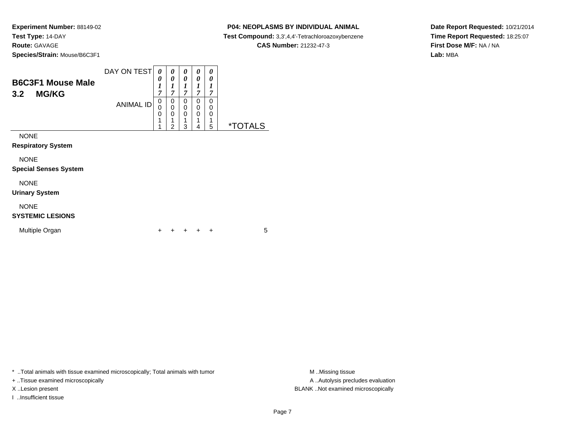#### **P04: NEOPLASMS BY INDIVIDUAL ANIMAL**

**Test Compound:** 3,3',4,4'-Tetrachloroazoxybenzene

**CAS Number:** 21232-47-3

**Date Report Requested:** 10/21/2014**Time Report Requested:** 18:25:07**First Dose M/F:** NA / NA**Lab:** MBA

| <b>B6C3F1 Mouse Male</b><br><b>MG/KG</b><br>3.2 | DAY ON TEST      | 0<br>0<br>1<br>7 | 0<br>0<br>T<br>ı<br>7                  | 0<br>0<br>1<br>7      | 0<br>0<br>1<br>7                          | 0<br>0<br>1<br>7      |                       |
|-------------------------------------------------|------------------|------------------|----------------------------------------|-----------------------|-------------------------------------------|-----------------------|-----------------------|
|                                                 | <b>ANIMAL ID</b> | 0<br>0<br>0<br>1 | 0<br>$\mathbf 0$<br>$\Omega$<br>4<br>2 | 0<br>0<br>0<br>1<br>3 | 0<br>$\mathbf 0$<br>$\mathbf 0$<br>1<br>4 | 0<br>0<br>0<br>4<br>5 | <i><b>*TOTALS</b></i> |
| <b>NONE</b><br><b>Respiratory System</b>        |                  |                  |                                        |                       |                                           |                       |                       |
| <b>NONE</b><br><b>Special Senses System</b>     |                  |                  |                                        |                       |                                           |                       |                       |

# NONE

**Urinary System**

# NONE

#### **SYSTEMIC LESIONS**

| Multiple Organ |  |  |  | + + + + + |  |  |  |
|----------------|--|--|--|-----------|--|--|--|
|----------------|--|--|--|-----------|--|--|--|

\* ..Total animals with tissue examined microscopically; Total animals with tumor **M** . Missing tissue M ..Missing tissue

+ ..Tissue examined microscopically

I ..Insufficient tissue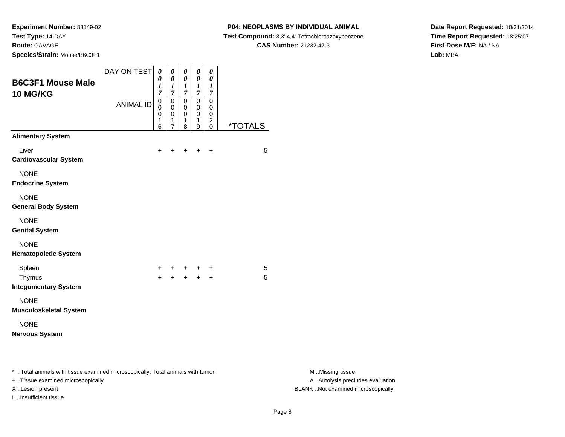**P04: NEOPLASMS BY INDIVIDUAL ANIMAL**

**Test Compound:** 3,3',4,4'-Tetrachloroazoxybenzene

**CAS Number:** 21232-47-3

**Date Report Requested:** 10/21/2014**Time Report Requested:** 18:25:07**First Dose M/F:** NA / NA**Lab:** MBA

| <b>B6C3F1 Mouse Male</b><br><b>10 MG/KG</b>                                                                         | DAY ON TEST      | $\boldsymbol{\theta}$<br>0<br>$\boldsymbol{l}$<br>$\overline{7}$ | $\boldsymbol{\theta}$<br>0<br>$\boldsymbol{l}$<br>$\boldsymbol{7}$ | $\pmb{\theta}$<br>0<br>$\boldsymbol{l}$<br>$\overline{7}$ | $\pmb{\theta}$<br>0<br>$\boldsymbol{l}$<br>$\boldsymbol{7}$ | $\pmb{\theta}$<br>0<br>$\boldsymbol{l}$<br>$\overline{7}$ |                       |                                                       |
|---------------------------------------------------------------------------------------------------------------------|------------------|------------------------------------------------------------------|--------------------------------------------------------------------|-----------------------------------------------------------|-------------------------------------------------------------|-----------------------------------------------------------|-----------------------|-------------------------------------------------------|
|                                                                                                                     | <b>ANIMAL ID</b> | $\pmb{0}$<br>0<br>0<br>1<br>6                                    | $\mathbf 0$<br>$\mathbf 0$<br>0<br>$\mathbf{1}$<br>$\overline{7}$  | $\pmb{0}$<br>$\mathbf 0$<br>0<br>$\mathbf{1}$<br>8        | $\overline{0}$<br>$\mathbf 0$<br>$\pmb{0}$<br>1<br>9        | $\pmb{0}$<br>0<br>0<br>$\overline{c}$<br>$\pmb{0}$        | <i><b>*TOTALS</b></i> |                                                       |
| <b>Alimentary System</b>                                                                                            |                  |                                                                  |                                                                    |                                                           |                                                             |                                                           |                       |                                                       |
| Liver<br><b>Cardiovascular System</b>                                                                               |                  | $\ddot{}$                                                        | $\ddot{}$                                                          | $+$                                                       | $+$                                                         | $+$                                                       | 5                     |                                                       |
| <b>NONE</b><br><b>Endocrine System</b>                                                                              |                  |                                                                  |                                                                    |                                                           |                                                             |                                                           |                       |                                                       |
| <b>NONE</b><br><b>General Body System</b>                                                                           |                  |                                                                  |                                                                    |                                                           |                                                             |                                                           |                       |                                                       |
| <b>NONE</b><br><b>Genital System</b>                                                                                |                  |                                                                  |                                                                    |                                                           |                                                             |                                                           |                       |                                                       |
| <b>NONE</b><br><b>Hematopoietic System</b>                                                                          |                  |                                                                  |                                                                    |                                                           |                                                             |                                                           |                       |                                                       |
| Spleen<br>Thymus<br><b>Integumentary System</b>                                                                     |                  | $\pm$<br>$\ddot{+}$                                              |                                                                    | $+ + +$                                                   | $+$ $+$                                                     | $_{+}$<br>$\ddot{}$                                       | 5<br>5                |                                                       |
| <b>NONE</b><br><b>Musculoskeletal System</b>                                                                        |                  |                                                                  |                                                                    |                                                           |                                                             |                                                           |                       |                                                       |
| <b>NONE</b><br><b>Nervous System</b>                                                                                |                  |                                                                  |                                                                    |                                                           |                                                             |                                                           |                       |                                                       |
| * Total animals with tissue examined microscopically; Total animals with tumor<br>+ Tissue examined microscopically |                  |                                                                  |                                                                    |                                                           |                                                             |                                                           |                       | M Missing tissue<br>A  Autolysis precludes evaluation |

I ..Insufficient tissue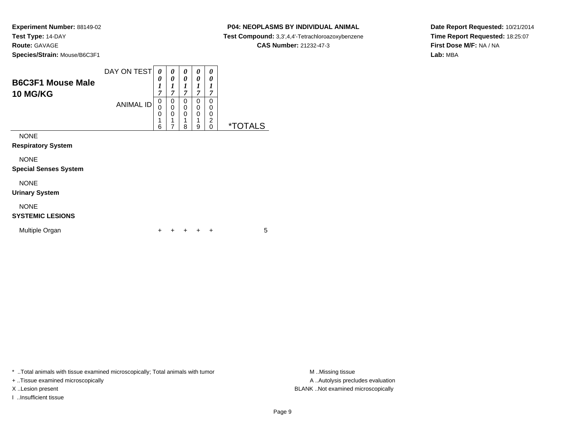#### **P04: NEOPLASMS BY INDIVIDUAL ANIMAL**

**Test Compound:** 3,3',4,4'-Tetrachloroazoxybenzene

**CAS Number:** 21232-47-3

**Date Report Requested:** 10/21/2014**Time Report Requested:** 18:25:07**First Dose M/F:** NA / NA**Lab:** MBA

| <b>B6C3F1 Mouse Male</b><br><b>10 MG/KG</b> | DAY ON TEST      | 0<br>0<br>1<br>7      | 0<br>0<br>1<br>7                | 0<br>0<br>1<br>7 | 0<br>0<br>7      | 0<br>0<br>7                         |                       |
|---------------------------------------------|------------------|-----------------------|---------------------------------|------------------|------------------|-------------------------------------|-----------------------|
|                                             | <b>ANIMAL ID</b> | 0<br>0<br>0<br>1<br>6 | 0<br>$\mathbf 0$<br>0<br>1<br>7 | 0<br>0<br>0<br>8 | 0<br>0<br>0<br>9 | $\Omega$<br>0<br>0<br>2<br>$\Omega$ | <i><b>*TOTALS</b></i> |
| <b>NONE</b><br><b>Respiratory System</b>    |                  |                       |                                 |                  |                  |                                     |                       |
| <b>NONE</b><br><b>Special Senses System</b> |                  |                       |                                 |                  |                  |                                     |                       |
| <b>NONE</b><br><b>Urinary System</b>        |                  |                       |                                 |                  |                  |                                     |                       |
| <b>NONE</b>                                 |                  |                       |                                 |                  |                  |                                     |                       |

#### **SYSTEMIC LESIONS**

| Multiple Organ<br>+ + + + + |  |
|-----------------------------|--|
|-----------------------------|--|

\* ..Total animals with tissue examined microscopically; Total animals with tumor **M** . Missing tissue M ..Missing tissue

+ ..Tissue examined microscopically

I ..Insufficient tissue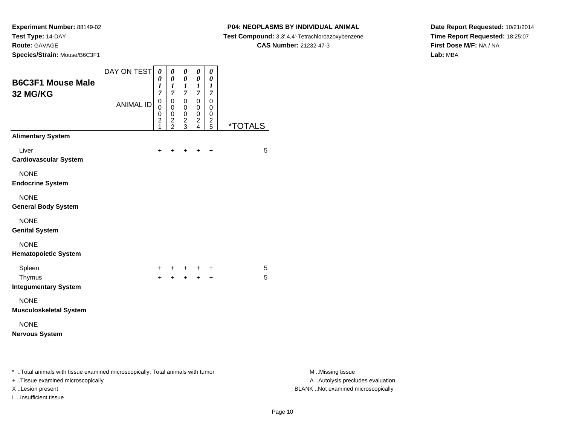#### **P04: NEOPLASMS BY INDIVIDUAL ANIMAL**

**Test Compound:** 3,3',4,4'-Tetrachloroazoxybenzene

**CAS Number:** 21232-47-3

**Date Report Requested:** 10/21/2014**Time Report Requested:** 18:25:07**First Dose M/F:** NA / NA**Lab:** MBA

| <b>B6C3F1 Mouse Male</b>                                                                                            | DAY ON TEST      | $\boldsymbol{\theta}$<br>0<br>1                                       | $\pmb{\theta}$<br>$\pmb{\theta}$<br>1                                    | $\pmb{\theta}$<br>$\pmb{\theta}$<br>$\boldsymbol{l}$               | $\pmb{\theta}$<br>$\pmb{\theta}$<br>$\boldsymbol{l}$                       | 0<br>0<br>$\boldsymbol{l}$                                     |                       |                                                       |
|---------------------------------------------------------------------------------------------------------------------|------------------|-----------------------------------------------------------------------|--------------------------------------------------------------------------|--------------------------------------------------------------------|----------------------------------------------------------------------------|----------------------------------------------------------------|-----------------------|-------------------------------------------------------|
| 32 MG/KG                                                                                                            | <b>ANIMAL ID</b> | $\overline{7}$<br>$\pmb{0}$<br>0<br>0<br>$\overline{\mathbf{c}}$<br>1 | $\boldsymbol{7}$<br>$\pmb{0}$<br>$\pmb{0}$<br>$\pmb{0}$<br>$\frac{2}{2}$ | $\overline{7}$<br>$\mathbf 0$<br>0<br>$\mathbf 0$<br>$\frac{2}{3}$ | $\boldsymbol{7}$<br>$\pmb{0}$<br>$\mathbf 0$<br>$\pmb{0}$<br>$\frac{2}{4}$ | $\overline{7}$<br>$\pmb{0}$<br>0<br>$\pmb{0}$<br>$\frac{2}{5}$ | <i><b>*TOTALS</b></i> |                                                       |
| <b>Alimentary System</b>                                                                                            |                  |                                                                       |                                                                          |                                                                    |                                                                            |                                                                |                       |                                                       |
| Liver<br><b>Cardiovascular System</b>                                                                               |                  | $+$                                                                   | $+$                                                                      |                                                                    | $+$ $+$                                                                    | $\ddot{}$                                                      | 5                     |                                                       |
| <b>NONE</b><br><b>Endocrine System</b>                                                                              |                  |                                                                       |                                                                          |                                                                    |                                                                            |                                                                |                       |                                                       |
| <b>NONE</b><br><b>General Body System</b>                                                                           |                  |                                                                       |                                                                          |                                                                    |                                                                            |                                                                |                       |                                                       |
| <b>NONE</b><br><b>Genital System</b>                                                                                |                  |                                                                       |                                                                          |                                                                    |                                                                            |                                                                |                       |                                                       |
| <b>NONE</b><br><b>Hematopoietic System</b>                                                                          |                  |                                                                       |                                                                          |                                                                    |                                                                            |                                                                |                       |                                                       |
| Spleen<br>Thymus<br><b>Integumentary System</b>                                                                     |                  | $\pm$<br>$+$                                                          |                                                                          |                                                                    | $+ + +$                                                                    | $\ddot{}$<br>$\ddot{+}$                                        | 5<br>5                |                                                       |
| <b>NONE</b><br><b>Musculoskeletal System</b>                                                                        |                  |                                                                       |                                                                          |                                                                    |                                                                            |                                                                |                       |                                                       |
| <b>NONE</b><br><b>Nervous System</b>                                                                                |                  |                                                                       |                                                                          |                                                                    |                                                                            |                                                                |                       |                                                       |
| * Total animals with tissue examined microscopically; Total animals with tumor<br>+ Tissue examined microscopically |                  |                                                                       |                                                                          |                                                                    |                                                                            |                                                                |                       | M Missing tissue<br>A  Autolysis precludes evaluation |

I ..Insufficient tissue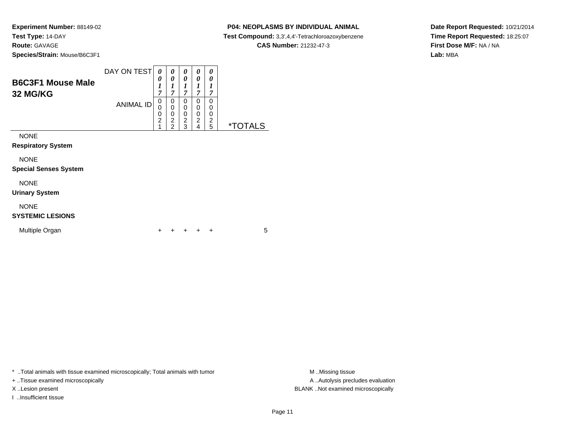#### **P04: NEOPLASMS BY INDIVIDUAL ANIMAL**

**Test Compound:** 3,3',4,4'-Tetrachloroazoxybenzene

**CAS Number:** 21232-47-3

**Date Report Requested:** 10/21/2014**Time Report Requested:** 18:25:07**First Dose M/F:** NA / NA**Lab:** MBA

| <b>B6C3F1 Mouse Male</b><br><b>32 MG/KG</b> | DAY ON TEST      | 0<br>0<br>1<br>7              | 0<br>0<br>1<br>7                                | 0<br>0<br>1<br>7                            | 0<br>0<br>1<br>7                   | 0<br>0<br>7           |                       |
|---------------------------------------------|------------------|-------------------------------|-------------------------------------------------|---------------------------------------------|------------------------------------|-----------------------|-----------------------|
|                                             | <b>ANIMAL ID</b> | 0<br>0<br>0<br>$\overline{2}$ | 0<br>0<br>0<br>$\overline{c}$<br>$\overline{2}$ | 0<br>0<br>0<br>$\overline{\mathbf{c}}$<br>3 | 0<br>0<br>0<br>$\overline{2}$<br>4 | 0<br>0<br>0<br>2<br>5 | <i><b>*TOTALS</b></i> |
| <b>NONE</b><br><b>Respiratory System</b>    |                  |                               |                                                 |                                             |                                    |                       |                       |
| <b>NONE</b><br><b>Special Senses System</b> |                  |                               |                                                 |                                             |                                    |                       |                       |
| <b>NONE</b><br><b>Urinary System</b>        |                  |                               |                                                 |                                             |                                    |                       |                       |
| <b>NONE</b>                                 |                  |                               |                                                 |                                             |                                    |                       |                       |

# **SYSTEMIC LESIONS**

| Multiple Organ |  |  |  | + + + + + |  |  |  |
|----------------|--|--|--|-----------|--|--|--|
|----------------|--|--|--|-----------|--|--|--|

\* ..Total animals with tissue examined microscopically; Total animals with tumor **M** . Missing tissue M ..Missing tissue

+ ..Tissue examined microscopically

I ..Insufficient tissue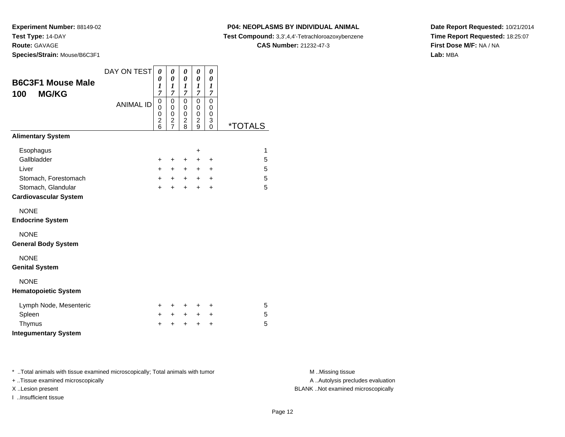**Species/Strain:** Mouse/B6C3F1

# **P04: NEOPLASMS BY INDIVIDUAL ANIMAL**

**Test Compound:** 3,3',4,4'-Tetrachloroazoxybenzene

**CAS Number:** 21232-47-3

**Date Report Requested:** 10/21/2014**Time Report Requested:** 18:25:07**First Dose M/F:** NA / NA**Lab:** MBA

| <b>B6C3F1 Mouse Male</b><br><b>MG/KG</b><br>100                                                                 | DAY ON TEST<br><b>ANIMAL ID</b> | 0<br>$\boldsymbol{\theta}$<br>1<br>$\overline{7}$<br>0<br>0<br>$\mathbf 0$<br>$\overline{2}$<br>6 | 0<br>0<br>1<br>7<br>0<br>0<br>0<br>2<br>7 | 0<br>0<br>1<br>7<br>$\mathbf 0$<br>0<br>$\mathbf 0$<br>$\overline{c}$<br>8 | 0<br>$\boldsymbol{\theta}$<br>$\boldsymbol{l}$<br>$\overline{7}$<br>$\mathbf 0$<br>0<br>$\mathbf 0$<br>$\overline{2}$<br>9 | 0<br>0<br>$\boldsymbol{l}$<br>$\overline{7}$<br>0<br>0<br>$\mathbf 0$<br>3<br>0 | <i><b>*TOTALS</b></i>            |
|-----------------------------------------------------------------------------------------------------------------|---------------------------------|---------------------------------------------------------------------------------------------------|-------------------------------------------|----------------------------------------------------------------------------|----------------------------------------------------------------------------------------------------------------------------|---------------------------------------------------------------------------------|----------------------------------|
| <b>Alimentary System</b>                                                                                        |                                 |                                                                                                   |                                           |                                                                            |                                                                                                                            |                                                                                 |                                  |
| Esophagus<br>Gallbladder<br>Liver<br>Stomach, Forestomach<br>Stomach, Glandular<br><b>Cardiovascular System</b> |                                 | +<br>$+$<br>$+$<br>$+$                                                                            | +<br>$+$<br>$+$<br>$\ddot{}$              | +<br>$+$<br>$+$<br>$\ddot{}$                                               | $\ddot{}$<br>+<br>$+$<br>$+$<br>$\ddot{}$                                                                                  | +<br>$\ddot{}$<br>$\ddot{}$<br>$\ddot{}$                                        | $\mathbf{1}$<br>5<br>5<br>5<br>5 |
| <b>NONE</b><br><b>Endocrine System</b>                                                                          |                                 |                                                                                                   |                                           |                                                                            |                                                                                                                            |                                                                                 |                                  |
| <b>NONE</b><br><b>General Body System</b>                                                                       |                                 |                                                                                                   |                                           |                                                                            |                                                                                                                            |                                                                                 |                                  |
| <b>NONE</b><br><b>Genital System</b>                                                                            |                                 |                                                                                                   |                                           |                                                                            |                                                                                                                            |                                                                                 |                                  |
| <b>NONE</b><br><b>Hematopoietic System</b>                                                                      |                                 |                                                                                                   |                                           |                                                                            |                                                                                                                            |                                                                                 |                                  |
| Lymph Node, Mesenteric<br>Spleen<br>Thymus<br><b>Integumentary System</b>                                       |                                 | $\pm$<br>$+$<br>$\ddot{}$                                                                         | $\ddot{}$<br>$+$<br>$\ddot{}$             | $\ddot{}$<br>$+$<br>$\ddot{}$                                              | $\ddot{}$<br>$\ddot{}$<br>$\ddot{}$                                                                                        | +<br>+<br>+                                                                     | 5<br>5<br>5                      |

\* ..Total animals with tissue examined microscopically; Total animals with tumor **M** . Missing tissue M ..Missing tissue

+ ..Tissue examined microscopically

I ..Insufficient tissue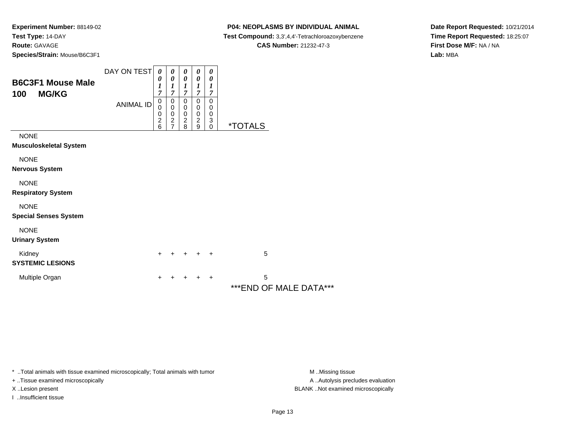#### **P04: NEOPLASMS BY INDIVIDUAL ANIMAL**

**Test Compound:** 3,3',4,4'-Tetrachloroazoxybenzene

**CAS Number:** 21232-47-3

**Date Report Requested:** 10/21/2014**Time Report Requested:** 18:25:07**First Dose M/F:** NA / NA**Lab:** MBA

| <b>B6C3F1 Mouse Male</b><br>100<br><b>MG/KG</b> | DAY ON TEST<br><b>ANIMAL ID</b> | $\boldsymbol{\theta}$<br>0<br>$\boldsymbol{l}$<br>7<br>$\pmb{0}$<br>$\mathbf 0$<br>$\begin{array}{c} 0 \\ 2 \\ 6 \end{array}$ | 0<br>$\boldsymbol{\theta}$<br>1<br>$\overline{7}$<br>0<br>$\mathbf 0$<br>$\pmb{0}$<br>$\frac{2}{7}$ | 0<br>0<br>$\boldsymbol{l}$<br>$\overline{7}$<br>0<br>$\pmb{0}$<br>$\frac{0}{2}$ | 0<br>0<br>$\boldsymbol{l}$<br>$\overline{7}$<br>0<br>0<br>$\mathbf 0$<br>$\frac{2}{9}$ | 0<br>0<br>1<br>$\overline{7}$<br>0<br>$\,0\,$<br>$\mathbf 0$<br>$\frac{3}{0}$ | <i><b>*TOTALS</b></i>       |
|-------------------------------------------------|---------------------------------|-------------------------------------------------------------------------------------------------------------------------------|-----------------------------------------------------------------------------------------------------|---------------------------------------------------------------------------------|----------------------------------------------------------------------------------------|-------------------------------------------------------------------------------|-----------------------------|
| <b>NONE</b><br>Musculoskeletal System           |                                 |                                                                                                                               |                                                                                                     |                                                                                 |                                                                                        |                                                                               |                             |
| <b>NONE</b><br>Nervous System                   |                                 |                                                                                                                               |                                                                                                     |                                                                                 |                                                                                        |                                                                               |                             |
| <b>NONE</b><br><b>Respiratory System</b>        |                                 |                                                                                                                               |                                                                                                     |                                                                                 |                                                                                        |                                                                               |                             |
| <b>NONE</b><br><b>Special Senses System</b>     |                                 |                                                                                                                               |                                                                                                     |                                                                                 |                                                                                        |                                                                               |                             |
| <b>NONE</b><br><b>Urinary System</b>            |                                 |                                                                                                                               |                                                                                                     |                                                                                 |                                                                                        |                                                                               |                             |
| Kidney<br><b>SYSTEMIC LESIONS</b>               |                                 | $+$                                                                                                                           |                                                                                                     | ÷                                                                               | $\ddot{}$                                                                              | $\overline{+}$                                                                | 5                           |
| Multiple Organ                                  |                                 | ٠                                                                                                                             |                                                                                                     |                                                                                 |                                                                                        | $\ddot{}$                                                                     | 5<br>***END OF MALE DATA*** |

\* ..Total animals with tissue examined microscopically; Total animals with tumor **M** . Missing tissue M ..Missing tissue

+ ..Tissue examined microscopically

I ..Insufficient tissue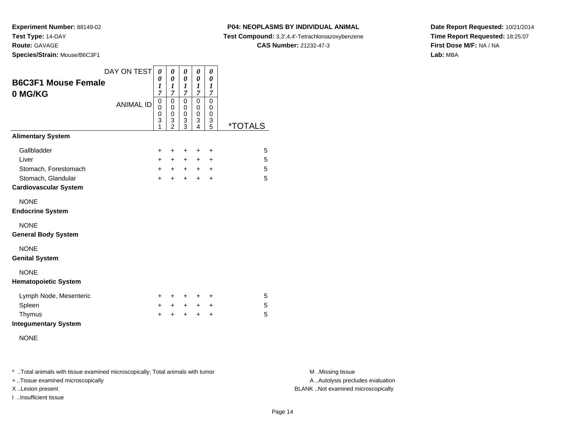**Experiment Number:** 88149-02**Test Type:** 14-DAY

**Route:** GAVAGE

**Species/Strain:** Mouse/B6C3F1

#### **P04: NEOPLASMS BY INDIVIDUAL ANIMAL**

**Test Compound:** 3,3',4,4'-Tetrachloroazoxybenzene

**CAS Number:** 21232-47-3

**Date Report Requested:** 10/21/2014**Time Report Requested:** 18:25:07**First Dose M/F:** NA / NA**Lab:** MBA

| <b>B6C3F1 Mouse Female</b><br>0 MG/KG              | DAY ON TEST      | 0<br>0<br>1<br>7      | 0<br>0<br>1<br>$\overline{7}$                | 0<br>0<br>1<br>7                          | 0<br>0<br>1<br>7      | 0<br>0<br>1<br>7                |                       |
|----------------------------------------------------|------------------|-----------------------|----------------------------------------------|-------------------------------------------|-----------------------|---------------------------------|-----------------------|
|                                                    | <b>ANIMAL ID</b> | 0<br>0<br>0<br>3<br>1 | 0<br>0<br>$\mathbf 0$<br>3<br>$\overline{2}$ | 0<br>$\mathbf 0$<br>$\mathbf 0$<br>3<br>3 | 0<br>0<br>0<br>3<br>4 | $\mathbf 0$<br>0<br>0<br>3<br>5 | <i><b>*TOTALS</b></i> |
| <b>Alimentary System</b>                           |                  |                       |                                              |                                           |                       |                                 |                       |
| Gallbladder                                        |                  | $\ddot{}$             | +                                            | $\ddot{}$                                 | +                     | +                               | 5                     |
| Liver                                              |                  | $+$                   | $\pm$                                        | $\ddot{}$                                 | $\ddot{}$             | +                               | 5                     |
| Stomach, Forestomach                               |                  | $+$                   | $+$                                          | $+$                                       | $+$                   | $\ddot{}$                       | 5                     |
| Stomach, Glandular<br><b>Cardiovascular System</b> |                  | $+$                   | $\ddot{}$                                    | $\ddot{}$                                 | $\ddot{}$             | $\ddot{}$                       | 5                     |
| <b>NONE</b><br><b>Endocrine System</b>             |                  |                       |                                              |                                           |                       |                                 |                       |
| <b>NONE</b><br><b>General Body System</b>          |                  |                       |                                              |                                           |                       |                                 |                       |
| <b>NONE</b><br><b>Genital System</b>               |                  |                       |                                              |                                           |                       |                                 |                       |
| <b>NONE</b><br><b>Hematopoietic System</b>         |                  |                       |                                              |                                           |                       |                                 |                       |
| Lymph Node, Mesenteric                             |                  | $\pm$                 | $\pm$                                        | $+$                                       | $\ddot{}$             | $\ddot{}$                       | 5                     |
| Spleen                                             |                  | $\pm$                 | $\pm$                                        | $+$                                       | $\pm$                 | $\ddot{}$                       | 5                     |
| Thymus<br><b>Integumentary System</b>              |                  | $\ddot{}$             | +                                            | +                                         | $\ddot{}$             | +                               | 5                     |
| <b>NONE</b>                                        |                  |                       |                                              |                                           |                       |                                 |                       |

\* ..Total animals with tissue examined microscopically; Total animals with tumor **M** . Missing tissue M ..Missing tissue

+ ..Tissue examined microscopically

I ..Insufficient tissue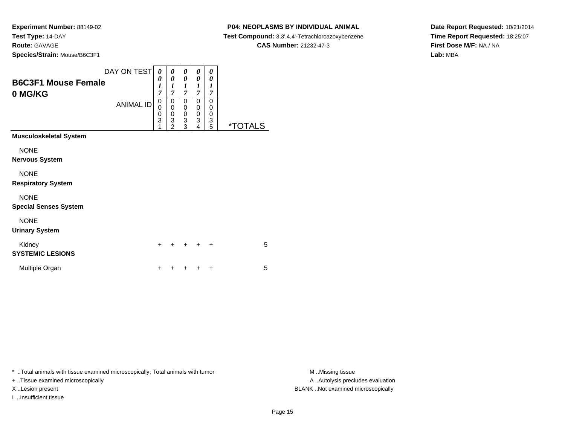#### **P04: NEOPLASMS BY INDIVIDUAL ANIMAL**

**Test Compound:** 3,3',4,4'-Tetrachloroazoxybenzene

**CAS Number:** 21232-47-3

**Date Report Requested:** 10/21/2014**Time Report Requested:** 18:25:07**First Dose M/F:** NA / NA**Lab:** MBA

| <b>B6C3F1 Mouse Female</b><br>0 MG/KG       | DAY ON TEST<br><b>ANIMAL ID</b> | 0<br>0<br>1<br>7<br>0<br>0<br>0<br>3<br>1 | 0<br>0<br>1<br>7<br>0<br>0<br>0<br>3<br>$\mathcal{P}$ | 0<br>0<br>$\boldsymbol{l}$<br>$\overline{7}$<br>0<br>0<br>0<br>3<br>3 | 0<br>0<br>$\boldsymbol{l}$<br>$\overline{7}$<br>0<br>0<br>$\mathbf 0$<br>3<br>4 | 0<br>0<br>$\boldsymbol{l}$<br>7<br>$\Omega$<br>$\Omega$<br>$\Omega$<br>3<br>5 | <i><b>*TOTALS</b></i> |
|---------------------------------------------|---------------------------------|-------------------------------------------|-------------------------------------------------------|-----------------------------------------------------------------------|---------------------------------------------------------------------------------|-------------------------------------------------------------------------------|-----------------------|
| <b>Musculoskeletal System</b>               |                                 |                                           |                                                       |                                                                       |                                                                                 |                                                                               |                       |
| <b>NONE</b><br><b>Nervous System</b>        |                                 |                                           |                                                       |                                                                       |                                                                                 |                                                                               |                       |
| <b>NONE</b><br><b>Respiratory System</b>    |                                 |                                           |                                                       |                                                                       |                                                                                 |                                                                               |                       |
| <b>NONE</b><br><b>Special Senses System</b> |                                 |                                           |                                                       |                                                                       |                                                                                 |                                                                               |                       |
| <b>NONE</b><br><b>Urinary System</b>        |                                 |                                           |                                                       |                                                                       |                                                                                 |                                                                               |                       |
| Kidney<br><b>SYSTEMIC LESIONS</b>           |                                 | $+$                                       |                                                       | $\div$                                                                | $\div$                                                                          | $\ddot{}$                                                                     | 5                     |
| Multiple Organ                              |                                 | +                                         |                                                       | +                                                                     |                                                                                 | $\ddot{}$                                                                     | 5                     |

\* ..Total animals with tissue examined microscopically; Total animals with tumor **M** . Missing tissue M ..Missing tissue

+ ..Tissue examined microscopically

I ..Insufficient tissue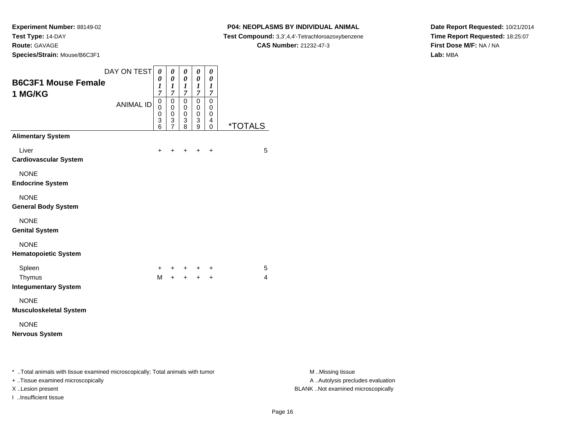**Experiment Number:** 88149-02**Test Type:** 14-DAY

**Route:** GAVAGE

**Species/Strain:** Mouse/B6C3F1

#### **P04: NEOPLASMS BY INDIVIDUAL ANIMAL**

**Test Compound:** 3,3',4,4'-Tetrachloroazoxybenzene

**CAS Number:** 21232-47-3

**Date Report Requested:** 10/21/2014**Time Report Requested:** 18:25:07**First Dose M/F:** NA / NA**Lab:** MBA

| DAY ON TEST<br><b>B6C3F1 Mouse Female</b><br>1 MG/KG                                                                | $\pmb{\theta}$<br>0<br>1<br>$\overline{7}$ | $\pmb{\theta}$<br>$\boldsymbol{\theta}$<br>1<br>$\overline{7}$ | $\pmb{\theta}$<br>$\pmb{\theta}$<br>$\frac{1}{7}$ | 0<br>$\pmb{\theta}$<br>$\frac{1}{7}$                                       | $\boldsymbol{\theta}$<br>$\boldsymbol{\theta}$<br>$\boldsymbol{l}$<br>$\overline{7}$ |                       |                                                       |
|---------------------------------------------------------------------------------------------------------------------|--------------------------------------------|----------------------------------------------------------------|---------------------------------------------------|----------------------------------------------------------------------------|--------------------------------------------------------------------------------------|-----------------------|-------------------------------------------------------|
| <b>ANIMAL ID</b>                                                                                                    | $\pmb{0}$<br>0<br>0<br>3<br>6              | $\pmb{0}$<br>$\mathbf 0$<br>$\mathbf 0$<br>$\frac{3}{7}$       | $\mathbf 0$<br>0<br>$\mathbf 0$<br>3<br>8         | $\mathsf{O}\xspace$<br>$\mathbf 0$<br>$\mathbf 0$<br>3<br>$\boldsymbol{9}$ | $\mathbf 0$<br>0<br>0<br>$\overline{4}$<br>0                                         | <i><b>*TOTALS</b></i> |                                                       |
| <b>Alimentary System</b>                                                                                            |                                            |                                                                |                                                   |                                                                            |                                                                                      |                       |                                                       |
| Liver<br><b>Cardiovascular System</b>                                                                               | +                                          |                                                                | +                                                 | $\ddot{}$                                                                  | $\ddot{}$                                                                            | 5                     |                                                       |
| <b>NONE</b><br><b>Endocrine System</b>                                                                              |                                            |                                                                |                                                   |                                                                            |                                                                                      |                       |                                                       |
| <b>NONE</b><br><b>General Body System</b>                                                                           |                                            |                                                                |                                                   |                                                                            |                                                                                      |                       |                                                       |
| <b>NONE</b><br><b>Genital System</b>                                                                                |                                            |                                                                |                                                   |                                                                            |                                                                                      |                       |                                                       |
| <b>NONE</b><br><b>Hematopoietic System</b>                                                                          |                                            |                                                                |                                                   |                                                                            |                                                                                      |                       |                                                       |
| Spleen                                                                                                              | $\ddot{}$                                  | $+$                                                            |                                                   | + + +                                                                      |                                                                                      | 5                     |                                                       |
| Thymus<br><b>Integumentary System</b>                                                                               | M                                          |                                                                |                                                   | $+ + + + +$                                                                |                                                                                      | 4                     |                                                       |
| <b>NONE</b>                                                                                                         |                                            |                                                                |                                                   |                                                                            |                                                                                      |                       |                                                       |
| <b>Musculoskeletal System</b>                                                                                       |                                            |                                                                |                                                   |                                                                            |                                                                                      |                       |                                                       |
| <b>NONE</b><br><b>Nervous System</b>                                                                                |                                            |                                                                |                                                   |                                                                            |                                                                                      |                       |                                                       |
| * Total animals with tissue examined microscopically; Total animals with tumor<br>+ Tissue examined microscopically |                                            |                                                                |                                                   |                                                                            |                                                                                      |                       | M Missing tissue<br>A  Autolysis precludes evaluation |

I ..Insufficient tissue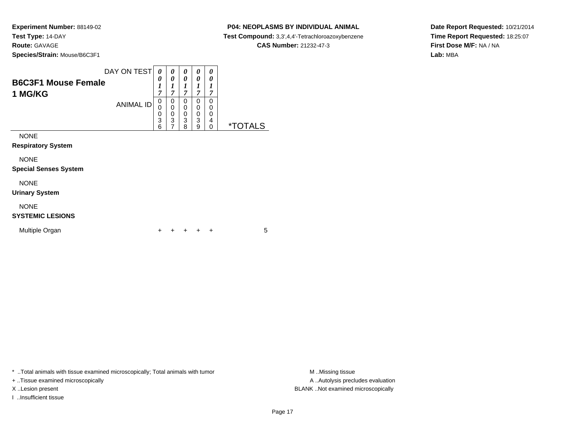#### **P04: NEOPLASMS BY INDIVIDUAL ANIMAL**

**Test Compound:** 3,3',4,4'-Tetrachloroazoxybenzene

**CAS Number:** 21232-47-3

**Date Report Requested:** 10/21/2014**Time Report Requested:** 18:25:07**First Dose M/F:** NA / NA**Lab:** MBA

| <b>B6C3F1 Mouse Female</b><br>1 MG/KG       | DAY ON TEST      | 0<br>0<br>1<br>$\overline{7}$ | 0<br>0<br>7      | 0<br>0<br>1<br>7                | 0<br>0<br>7           | 0<br>0<br>1<br>7      |                       |
|---------------------------------------------|------------------|-------------------------------|------------------|---------------------------------|-----------------------|-----------------------|-----------------------|
|                                             | <b>ANIMAL ID</b> | 0<br>0<br>0<br>3<br>6         | 0<br>0<br>0<br>3 | 0<br>0<br>$\mathbf 0$<br>3<br>8 | 0<br>0<br>0<br>3<br>9 | 0<br>0<br>0<br>4<br>0 | <i><b>*TOTALS</b></i> |
| <b>NONE</b><br><b>Respiratory System</b>    |                  |                               |                  |                                 |                       |                       |                       |
| <b>NONE</b><br><b>Special Senses System</b> |                  |                               |                  |                                 |                       |                       |                       |
| <b>NONE</b><br><b>Urinary System</b>        |                  |                               |                  |                                 |                       |                       |                       |

## NONE

#### **SYSTEMIC LESIONS**

| Multiple Organ |  |  |  | + + + + + |  |  |  |
|----------------|--|--|--|-----------|--|--|--|
|----------------|--|--|--|-----------|--|--|--|

\* ..Total animals with tissue examined microscopically; Total animals with tumor **M** . Missing tissue M ..Missing tissue

+ ..Tissue examined microscopically

I ..Insufficient tissue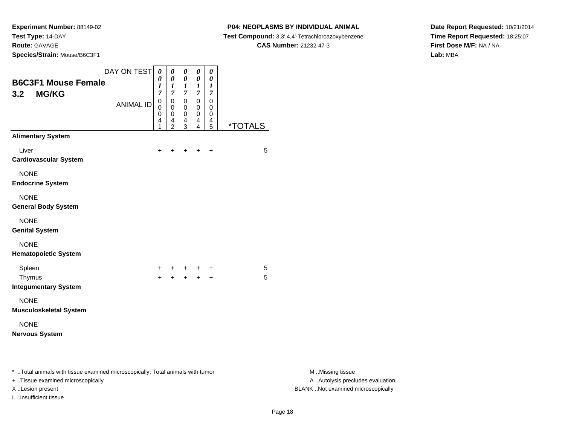**Species/Strain:** Mouse/B6C3F1

#### **P04: NEOPLASMS BY INDIVIDUAL ANIMAL**

**Test Compound:** 3,3',4,4'-Tetrachloroazoxybenzene

**CAS Number:** 21232-47-3

**Date Report Requested:** 10/21/2014**Time Report Requested:** 18:25:07**First Dose M/F:** NA / NA**Lab:** MBA

| DAY ON TEST<br><b>B6C3F1 Mouse Female</b><br>3.2<br><b>MG/KG</b>                                                    | $\boldsymbol{\theta}$<br>0<br>1<br>7 | 0<br>$\pmb{\theta}$<br>$\boldsymbol{l}$<br>$\overline{7}$          | $\pmb{\theta}$<br>$\boldsymbol{\theta}$<br>$\boldsymbol{l}$<br>$\overline{7}$ | 0<br>$\pmb{\theta}$<br>$\boldsymbol{l}$<br>$\boldsymbol{7}$ | 0<br>$\boldsymbol{\theta}$<br>$\boldsymbol{l}$<br>$\boldsymbol{7}$ |                       |                                                       |
|---------------------------------------------------------------------------------------------------------------------|--------------------------------------|--------------------------------------------------------------------|-------------------------------------------------------------------------------|-------------------------------------------------------------|--------------------------------------------------------------------|-----------------------|-------------------------------------------------------|
| <b>ANIMAL ID</b>                                                                                                    | 0<br>0<br>$\mathbf 0$<br>4<br>1      | 0<br>0<br>$\mathbf 0$<br>$\overline{\mathbf{4}}$<br>$\overline{2}$ | $\mathbf 0$<br>0<br>0<br>$\overline{4}$<br>$\overline{3}$                     | $\pmb{0}$<br>$\pmb{0}$<br>0<br>4<br>4                       | $\pmb{0}$<br>0<br>0<br>4<br>5                                      | <i><b>*TOTALS</b></i> |                                                       |
| <b>Alimentary System</b>                                                                                            |                                      |                                                                    |                                                                               |                                                             |                                                                    |                       |                                                       |
| Liver<br><b>Cardiovascular System</b>                                                                               | +                                    |                                                                    |                                                                               | $\ddot{}$                                                   | $\ddot{}$                                                          | 5                     |                                                       |
| <b>NONE</b><br><b>Endocrine System</b>                                                                              |                                      |                                                                    |                                                                               |                                                             |                                                                    |                       |                                                       |
| <b>NONE</b><br><b>General Body System</b>                                                                           |                                      |                                                                    |                                                                               |                                                             |                                                                    |                       |                                                       |
| <b>NONE</b><br><b>Genital System</b>                                                                                |                                      |                                                                    |                                                                               |                                                             |                                                                    |                       |                                                       |
| <b>NONE</b><br><b>Hematopoietic System</b>                                                                          |                                      |                                                                    |                                                                               |                                                             |                                                                    |                       |                                                       |
| Spleen                                                                                                              | $\pm$                                | $^+$                                                               | +                                                                             | $+$                                                         | +                                                                  | 5                     |                                                       |
| Thymus<br><b>Integumentary System</b>                                                                               | $+$                                  | $+$                                                                |                                                                               |                                                             |                                                                    | 5                     |                                                       |
| <b>NONE</b><br><b>Musculoskeletal System</b>                                                                        |                                      |                                                                    |                                                                               |                                                             |                                                                    |                       |                                                       |
| <b>NONE</b><br><b>Nervous System</b>                                                                                |                                      |                                                                    |                                                                               |                                                             |                                                                    |                       |                                                       |
| * Total animals with tissue examined microscopically; Total animals with tumor<br>+ Tissue examined microscopically |                                      |                                                                    |                                                                               |                                                             |                                                                    |                       | M Missing tissue<br>A  Autolysis precludes evaluation |

I ..Insufficient tissue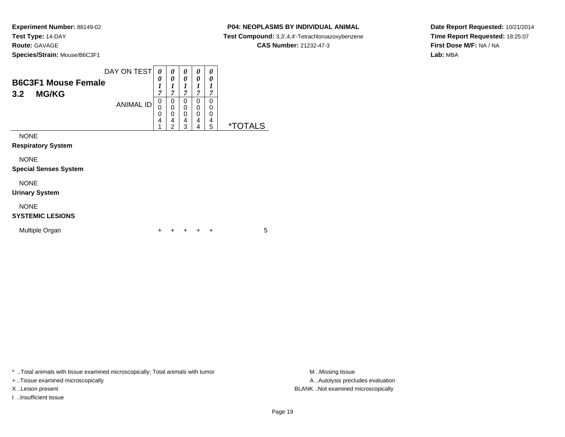#### **P04: NEOPLASMS BY INDIVIDUAL ANIMAL**

**Test Compound:** 3,3',4,4'-Tetrachloroazoxybenzene

**CAS Number:** 21232-47-3

**Date Report Requested:** 10/21/2014**Time Report Requested:** 18:25:07**First Dose M/F:** NA / NA**Lab:** MBA

| <b>B6C3F1 Mouse Female</b><br>3.2<br><b>MG/KG</b> | DAY ON TEST      | 0<br>0<br>$\boldsymbol{l}$<br>7<br>0 | 0<br>0<br>$\boldsymbol{l}$<br>$\overline{7}$<br>0  | 0<br>0<br>1<br>7<br>0 | 0<br>0<br>1<br>7<br>0 | 0<br>0<br>1<br>7<br>0 |                       |
|---------------------------------------------------|------------------|--------------------------------------|----------------------------------------------------|-----------------------|-----------------------|-----------------------|-----------------------|
|                                                   | <b>ANIMAL ID</b> | 0<br>0<br>4<br>1                     | $\bar{0}$<br>$\overline{0}$<br>4<br>$\overline{2}$ | 0<br>0<br>4<br>3      | 0<br>0<br>4<br>4      | 0<br>0<br>4<br>5      | <i><b>*TOTALS</b></i> |
| <b>NONE</b>                                       |                  |                                      |                                                    |                       |                       |                       |                       |
| <b>Respiratory System</b>                         |                  |                                      |                                                    |                       |                       |                       |                       |
| <b>NONE</b><br><b>Special Senses System</b>       |                  |                                      |                                                    |                       |                       |                       |                       |
| <b>NONE</b>                                       |                  |                                      |                                                    |                       |                       |                       |                       |

# NONE

**Urinary System**

# NONE

#### **SYSTEMIC LESIONS**

| Multiple Organ |  |  |  | + + + + + |  |  |  |
|----------------|--|--|--|-----------|--|--|--|
|----------------|--|--|--|-----------|--|--|--|

\* ..Total animals with tissue examined microscopically; Total animals with tumor **M** . Missing tissue M ..Missing tissue

+ ..Tissue examined microscopically

I ..Insufficient tissue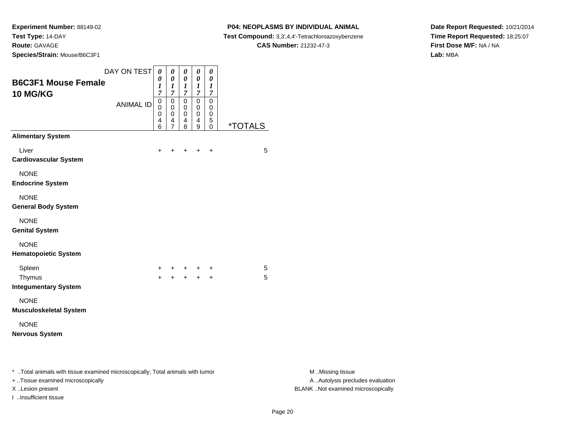**Species/Strain:** Mouse/B6C3F1

I ..Insufficient tissue

#### **P04: NEOPLASMS BY INDIVIDUAL ANIMAL**

**Test Compound:** 3,3',4,4'-Tetrachloroazoxybenzene

**CAS Number:** 21232-47-3

**Date Report Requested:** 10/21/2014**Time Report Requested:** 18:25:07**First Dose M/F:** NA / NA**Lab:** MBA

| DAY ON TEST $\theta$<br><b>B6C3F1 Mouse Female</b><br>10 MG/KG<br><b>ANIMAL ID</b>                                  | 0<br>$\boldsymbol{l}$<br>$\overline{7}$<br>$\pmb{0}$<br>0<br>0<br>4<br>6 | $\pmb{\theta}$<br>0<br>1<br>$\overline{7}$<br>$\pmb{0}$<br>$\pmb{0}$<br>0<br>$\overline{\mathbf{4}}$<br>7 | $\pmb{\theta}$<br>$\boldsymbol{\theta}$<br>$\boldsymbol{l}$<br>$\boldsymbol{7}$<br>$\pmb{0}$<br>$\mathbf 0$<br>0<br>$\overline{4}$<br>8 | $\pmb{\theta}$<br>$\pmb{\theta}$<br>$\boldsymbol{l}$<br>$\boldsymbol{7}$<br>$\mathbf 0$<br>$\pmb{0}$<br>0<br>$\overline{4}$<br>$9\,$ | $\pmb{\theta}$<br>0<br>$\boldsymbol{l}$<br>$\overline{7}$<br>$\mathsf 0$<br>0<br>$\mathbf 0$<br>$\sqrt{5}$<br>$\pmb{0}$ | <i><b>*TOTALS</b></i> |                                                       |
|---------------------------------------------------------------------------------------------------------------------|--------------------------------------------------------------------------|-----------------------------------------------------------------------------------------------------------|-----------------------------------------------------------------------------------------------------------------------------------------|--------------------------------------------------------------------------------------------------------------------------------------|-------------------------------------------------------------------------------------------------------------------------|-----------------------|-------------------------------------------------------|
| <b>Alimentary System</b>                                                                                            |                                                                          |                                                                                                           |                                                                                                                                         |                                                                                                                                      |                                                                                                                         |                       |                                                       |
| Liver<br><b>Cardiovascular System</b>                                                                               | +                                                                        |                                                                                                           |                                                                                                                                         | $\ddot{}$                                                                                                                            | $\ddot{}$                                                                                                               | 5                     |                                                       |
| <b>NONE</b><br><b>Endocrine System</b>                                                                              |                                                                          |                                                                                                           |                                                                                                                                         |                                                                                                                                      |                                                                                                                         |                       |                                                       |
| <b>NONE</b><br><b>General Body System</b>                                                                           |                                                                          |                                                                                                           |                                                                                                                                         |                                                                                                                                      |                                                                                                                         |                       |                                                       |
| <b>NONE</b><br><b>Genital System</b>                                                                                |                                                                          |                                                                                                           |                                                                                                                                         |                                                                                                                                      |                                                                                                                         |                       |                                                       |
| <b>NONE</b><br><b>Hematopoietic System</b>                                                                          |                                                                          |                                                                                                           |                                                                                                                                         |                                                                                                                                      |                                                                                                                         |                       |                                                       |
| Spleen                                                                                                              |                                                                          |                                                                                                           |                                                                                                                                         |                                                                                                                                      | +                                                                                                                       | 5                     |                                                       |
| Thymus<br><b>Integumentary System</b>                                                                               | $\ddot{}$                                                                |                                                                                                           |                                                                                                                                         | $\ddot{}$                                                                                                                            | $\ddot{}$                                                                                                               | 5                     |                                                       |
| <b>NONE</b><br><b>Musculoskeletal System</b>                                                                        |                                                                          |                                                                                                           |                                                                                                                                         |                                                                                                                                      |                                                                                                                         |                       |                                                       |
| <b>NONE</b><br><b>Nervous System</b>                                                                                |                                                                          |                                                                                                           |                                                                                                                                         |                                                                                                                                      |                                                                                                                         |                       |                                                       |
| * Total animals with tissue examined microscopically; Total animals with tumor<br>+ Tissue examined microscopically |                                                                          |                                                                                                           |                                                                                                                                         |                                                                                                                                      |                                                                                                                         |                       | M Missing tissue<br>A  Autolysis precludes evaluation |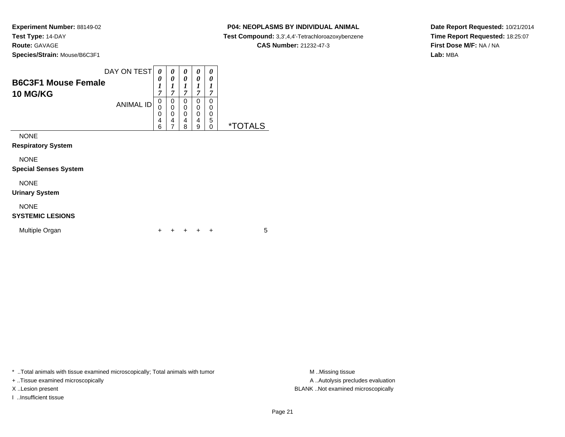#### **P04: NEOPLASMS BY INDIVIDUAL ANIMAL**

**Test Compound:** 3,3',4,4'-Tetrachloroazoxybenzene

**CAS Number:** 21232-47-3

**Date Report Requested:** 10/21/2014**Time Report Requested:** 18:25:07**First Dose M/F:** NA / NA**Lab:** MBA

| <b>B6C3F1 Mouse Female</b><br><b>10 MG/KG</b> | DAY ON TEST      | 0<br>0<br>1<br>7      | 0<br>0<br>1<br>7      | 0<br>0<br>1<br>7      | 0<br>0<br>7           | 0<br>0<br>7           |                       |
|-----------------------------------------------|------------------|-----------------------|-----------------------|-----------------------|-----------------------|-----------------------|-----------------------|
|                                               | <b>ANIMAL ID</b> | 0<br>0<br>0<br>4<br>6 | 0<br>0<br>0<br>4<br>7 | 0<br>0<br>0<br>4<br>8 | 0<br>0<br>0<br>4<br>9 | 0<br>0<br>0<br>5<br>0 | <i><b>*TOTALS</b></i> |
| <b>NONE</b><br><b>Respiratory System</b>      |                  |                       |                       |                       |                       |                       |                       |
| <b>NONE</b><br><b>Special Senses System</b>   |                  |                       |                       |                       |                       |                       |                       |
| <b>NONE</b><br><b>Urinary System</b>          |                  |                       |                       |                       |                       |                       |                       |
| <b>NONE</b>                                   |                  |                       |                       |                       |                       |                       |                       |

#### **SYSTEMIC LESIONS**

| Multiple Organ<br>+ + + + + |  |
|-----------------------------|--|
|-----------------------------|--|

\* ..Total animals with tissue examined microscopically; Total animals with tumor **M** . Missing tissue M ..Missing tissue

+ ..Tissue examined microscopically

I ..Insufficient tissue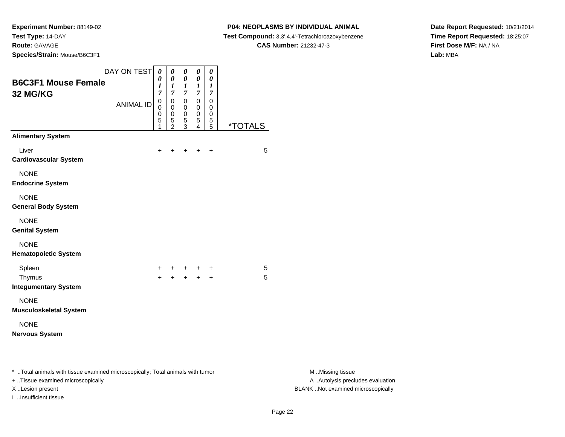**P04: NEOPLASMS BY INDIVIDUAL ANIMAL**

**Test Compound:** 3,3',4,4'-Tetrachloroazoxybenzene

**CAS Number:** 21232-47-3

**Date Report Requested:** 10/21/2014**Time Report Requested:** 18:25:07**First Dose M/F:** NA / NA**Lab:** MBA

| DAY ON TEST                                                                                                         | $\pmb{\theta}$                  | $\pmb{\theta}$                                         | $\pmb{\theta}$        | $\pmb{\theta}$                  | $\boldsymbol{\theta}$                             |                       |                                                       |
|---------------------------------------------------------------------------------------------------------------------|---------------------------------|--------------------------------------------------------|-----------------------|---------------------------------|---------------------------------------------------|-----------------------|-------------------------------------------------------|
| <b>B6C3F1 Mouse Female</b>                                                                                          | 0                               | 0                                                      | 0                     | 0                               | $\boldsymbol{\theta}$                             |                       |                                                       |
| 32 MG/KG                                                                                                            | 1<br>$\overline{7}$             | 1<br>$\overline{7}$                                    | $\boldsymbol{l}$<br>7 | $\boldsymbol{l}$<br>7           | $\boldsymbol{l}$<br>$\overline{7}$                |                       |                                                       |
| <b>ANIMAL ID</b>                                                                                                    | $\mathsf 0$<br>0<br>0<br>5<br>1 | $\mathbf 0$<br>$\mathbf 0$<br>0<br>5<br>$\overline{2}$ | 0<br>0<br>0<br>5<br>3 | $\mathsf 0$<br>0<br>0<br>5<br>4 | $\mathsf 0$<br>0<br>0<br>$\sqrt{5}$<br>$\sqrt{5}$ | <i><b>*TOTALS</b></i> |                                                       |
| <b>Alimentary System</b>                                                                                            |                                 |                                                        |                       |                                 |                                                   |                       |                                                       |
| Liver<br><b>Cardiovascular System</b>                                                                               | +                               |                                                        |                       |                                 | $\ddot{}$                                         | 5                     |                                                       |
| <b>NONE</b><br><b>Endocrine System</b>                                                                              |                                 |                                                        |                       |                                 |                                                   |                       |                                                       |
| <b>NONE</b><br><b>General Body System</b>                                                                           |                                 |                                                        |                       |                                 |                                                   |                       |                                                       |
| <b>NONE</b><br><b>Genital System</b>                                                                                |                                 |                                                        |                       |                                 |                                                   |                       |                                                       |
| <b>NONE</b><br><b>Hematopoietic System</b>                                                                          |                                 |                                                        |                       |                                 |                                                   |                       |                                                       |
| Spleen                                                                                                              | +                               |                                                        | + + + +               |                                 |                                                   | 5                     |                                                       |
| Thymus<br><b>Integumentary System</b>                                                                               |                                 | $+ + + + +$                                            |                       |                                 |                                                   | 5                     |                                                       |
| <b>NONE</b><br><b>Musculoskeletal System</b>                                                                        |                                 |                                                        |                       |                                 |                                                   |                       |                                                       |
| <b>NONE</b><br><b>Nervous System</b>                                                                                |                                 |                                                        |                       |                                 |                                                   |                       |                                                       |
| * Total animals with tissue examined microscopically; Total animals with tumor<br>+ Tissue examined microscopically |                                 |                                                        |                       |                                 |                                                   |                       | M Missing tissue<br>A  Autolysis precludes evaluation |

I ..Insufficient tissue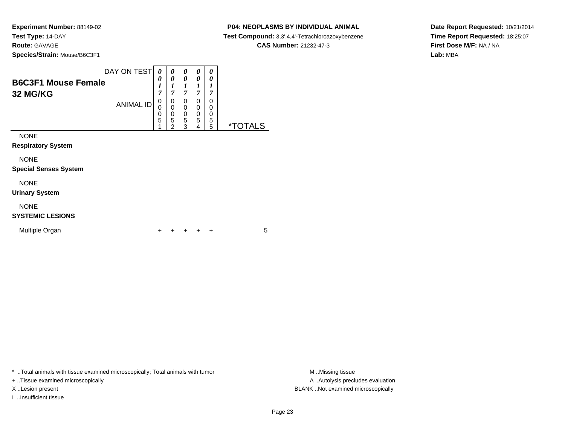#### **P04: NEOPLASMS BY INDIVIDUAL ANIMAL**

**Test Compound:** 3,3',4,4'-Tetrachloroazoxybenzene

**CAS Number:** 21232-47-3

**Date Report Requested:** 10/21/2014**Time Report Requested:** 18:25:07**First Dose M/F:** NA / NA**Lab:** MBA

| <b>B6C3F1 Mouse Female</b><br>32 MG/KG | DAY ON TEST      | 0<br>0<br>1<br>7 | 0<br>0<br>1<br>7                             | 0<br>0<br>1<br>7                | 0<br>0<br>1<br>7                | 0<br>0<br>1<br>7      |                       |
|----------------------------------------|------------------|------------------|----------------------------------------------|---------------------------------|---------------------------------|-----------------------|-----------------------|
|                                        | <b>ANIMAL ID</b> | 0<br>0<br>5<br>1 | 0<br>$\mathbf 0$<br>0<br>5<br>$\overline{2}$ | 0<br>$\mathbf 0$<br>0<br>5<br>3 | 0<br>0<br>$\mathbf 0$<br>5<br>4 | 0<br>0<br>0<br>5<br>5 | <i><b>*TOTALS</b></i> |
| <b>NONE</b>                            |                  |                  |                                              |                                 |                                 |                       |                       |
| <b>Respiratory System</b>              |                  |                  |                                              |                                 |                                 |                       |                       |
| <b>NONE</b>                            |                  |                  |                                              |                                 |                                 |                       |                       |
| <b>Special Senses System</b>           |                  |                  |                                              |                                 |                                 |                       |                       |
| <b>NONE</b>                            |                  |                  |                                              |                                 |                                 |                       |                       |
| <b>Urinary System</b>                  |                  |                  |                                              |                                 |                                 |                       |                       |
| <b>NONE</b><br><b>SYSTEMIC LESIONS</b> |                  |                  |                                              |                                 |                                 |                       |                       |

<sup>+</sup> <sup>+</sup> <sup>+</sup> <sup>+</sup> <sup>5</sup>

\* ..Total animals with tissue examined microscopically; Total animals with tumor **M** . Missing tissue M ..Missing tissue

n  $+$ 

+ ..Tissue examined microscopically

I ..Insufficient tissue

Multiple Organ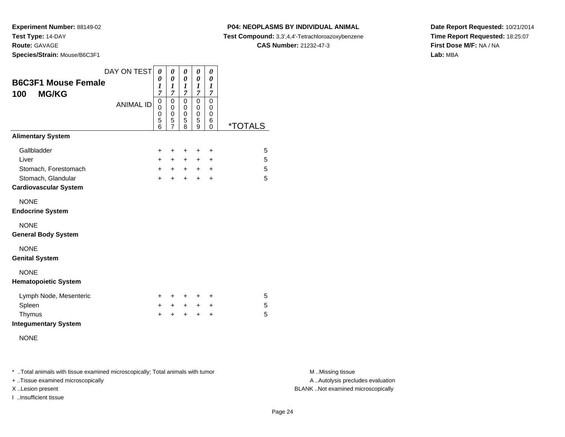**Species/Strain:** Mouse/B6C3F1

#### **P04: NEOPLASMS BY INDIVIDUAL ANIMAL**

**Test Compound:** 3,3',4,4'-Tetrachloroazoxybenzene

**CAS Number:** 21232-47-3

**Date Report Requested:** 10/21/2014**Time Report Requested:** 18:25:07**First Dose M/F:** NA / NA**Lab:** MBA

| <b>B6C3F1 Mouse Female</b><br><b>MG/KG</b><br>100                                                  | DAY ON TEST      | 0<br>0<br>1<br>7                       | 0<br>0<br>1<br>7                                       | 0<br>0<br>1<br>7                           | 0<br>0<br>1<br>$\overline{7}$    | 0<br>0<br>1<br>$\overline{7}$              |                       |
|----------------------------------------------------------------------------------------------------|------------------|----------------------------------------|--------------------------------------------------------|--------------------------------------------|----------------------------------|--------------------------------------------|-----------------------|
|                                                                                                    | <b>ANIMAL ID</b> | $\boldsymbol{0}$<br>0<br>0<br>5<br>6   | $\mathbf 0$<br>0<br>$\mathbf 0$<br>5<br>$\overline{7}$ | 0<br>0<br>$\mathbf 0$<br>5<br>8            | 0<br>0<br>0<br>5<br>9            | 0<br>0<br>$\mathbf 0$<br>6<br>$\mathbf{0}$ | <i><b>*TOTALS</b></i> |
| <b>Alimentary System</b>                                                                           |                  |                                        |                                                        |                                            |                                  |                                            |                       |
| Gallbladder<br>Liver<br>Stomach, Forestomach<br>Stomach, Glandular<br><b>Cardiovascular System</b> |                  | $\ddot{}$<br>$\pm$<br>$+$<br>$\ddot{}$ | +<br>$\pm$<br>$+$<br>$\ddot{}$                         | $\ddot{}$<br>$\ddot{}$<br>$+$<br>$\ddot{}$ | +<br>+<br>$\ddot{}$<br>$\ddot{}$ | +<br>+<br>$\ddot{}$<br>+                   | 5<br>5<br>5<br>5      |
| <b>NONE</b><br><b>Endocrine System</b>                                                             |                  |                                        |                                                        |                                            |                                  |                                            |                       |
| <b>NONE</b><br><b>General Body System</b>                                                          |                  |                                        |                                                        |                                            |                                  |                                            |                       |
| <b>NONE</b><br><b>Genital System</b>                                                               |                  |                                        |                                                        |                                            |                                  |                                            |                       |
| <b>NONE</b><br><b>Hematopoietic System</b>                                                         |                  |                                        |                                                        |                                            |                                  |                                            |                       |
| Lymph Node, Mesenteric                                                                             |                  | +                                      | +                                                      | $\ddot{}$                                  | +                                | +                                          | 5                     |
| Spleen<br>Thymus<br><b>Integumentary System</b>                                                    |                  | $+$<br>$\ddot{}$                       | $\pm$<br>$\pm$                                         | $+$<br>$\ddot{}$                           | +<br>+                           | +<br>+                                     | 5<br>5                |
| <b>NONE</b>                                                                                        |                  |                                        |                                                        |                                            |                                  |                                            |                       |

\* ..Total animals with tissue examined microscopically; Total animals with tumor **M** . Missing tissue M ..Missing tissue

+ ..Tissue examined microscopically

I ..Insufficient tissue